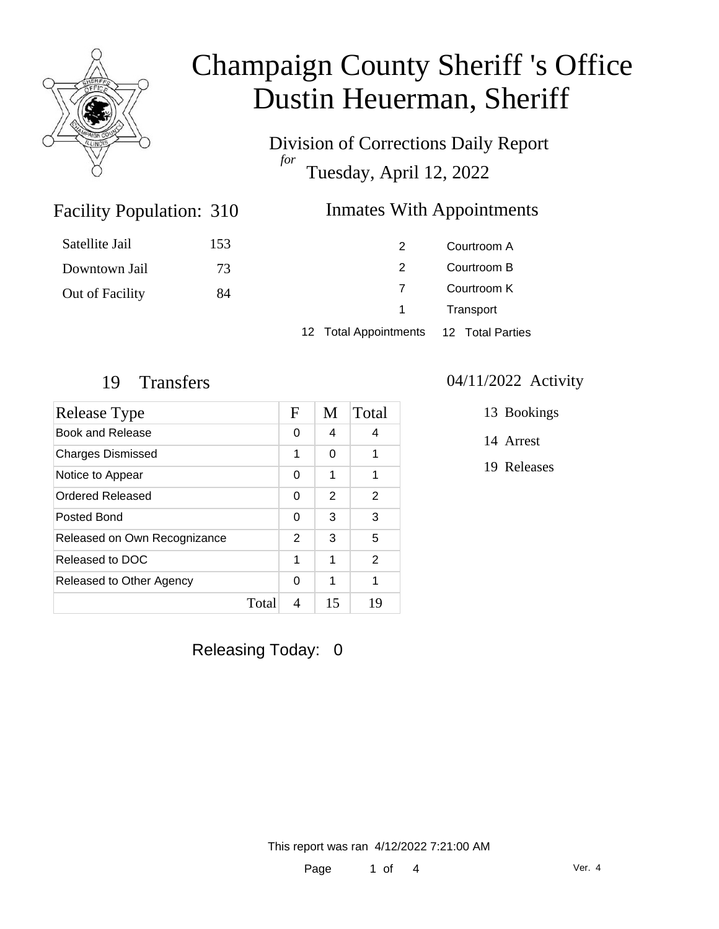

Division of Corrections Daily Report *for* Tuesday, April 12, 2022

### Inmates With Appointments

| Satellite Jail  | 153 | 2                     | Courtroom A              |  |
|-----------------|-----|-----------------------|--------------------------|--|
| Downtown Jail   | 73  | 2                     | Courtroom B              |  |
| Out of Facility | 84  |                       | Courtroom K<br>Transport |  |
|                 |     | $\overline{1}$        |                          |  |
|                 |     | 12 Total Appointments | 12 Total Parties         |  |

Facility Population: 310

| <b>Release Type</b>          |       | F | M  | Total         |
|------------------------------|-------|---|----|---------------|
| Book and Release             |       | 0 | 4  | 4             |
| <b>Charges Dismissed</b>     |       | 1 | 0  | 1             |
| Notice to Appear             |       | 0 | 1  | 1             |
| Ordered Released             |       | 0 | 2  | 2             |
| Posted Bond                  |       | 0 | 3  | 3             |
| Released on Own Recognizance |       | 2 | 3  | 5             |
| Released to DOC              |       | 1 | 1  | $\mathcal{P}$ |
| Released to Other Agency     |       | 0 | 1  | 1             |
|                              | Total | 4 | 15 | 19            |

#### 19 Transfers 04/11/2022 Activity

13 Bookings

14 Arrest

19 Releases

Releasing Today: 0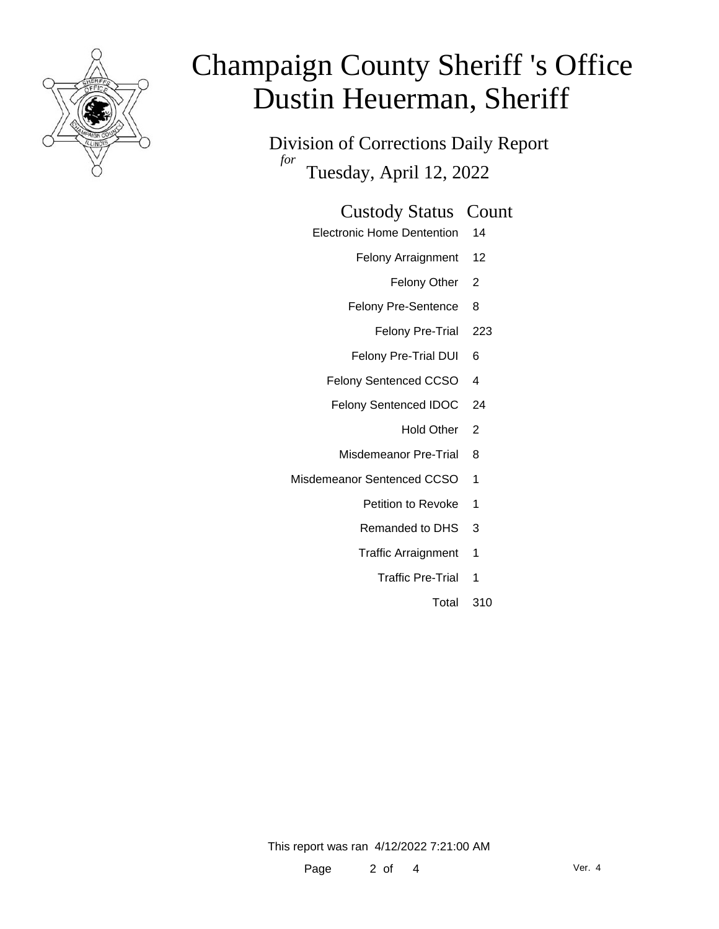

Division of Corrections Daily Report *for* Tuesday, April 12, 2022

#### Custody Status Count

- Electronic Home Dentention 14
	- Felony Arraignment 12
		- Felony Other 2
	- Felony Pre-Sentence 8
		- Felony Pre-Trial 223
	- Felony Pre-Trial DUI 6
	- Felony Sentenced CCSO 4
	- Felony Sentenced IDOC 24
		- Hold Other 2
		- Misdemeanor Pre-Trial 8
- Misdemeanor Sentenced CCSO 1
	- Petition to Revoke 1
	- Remanded to DHS 3
	- Traffic Arraignment 1
		- Traffic Pre-Trial 1
			- Total 310

This report was ran 4/12/2022 7:21:00 AM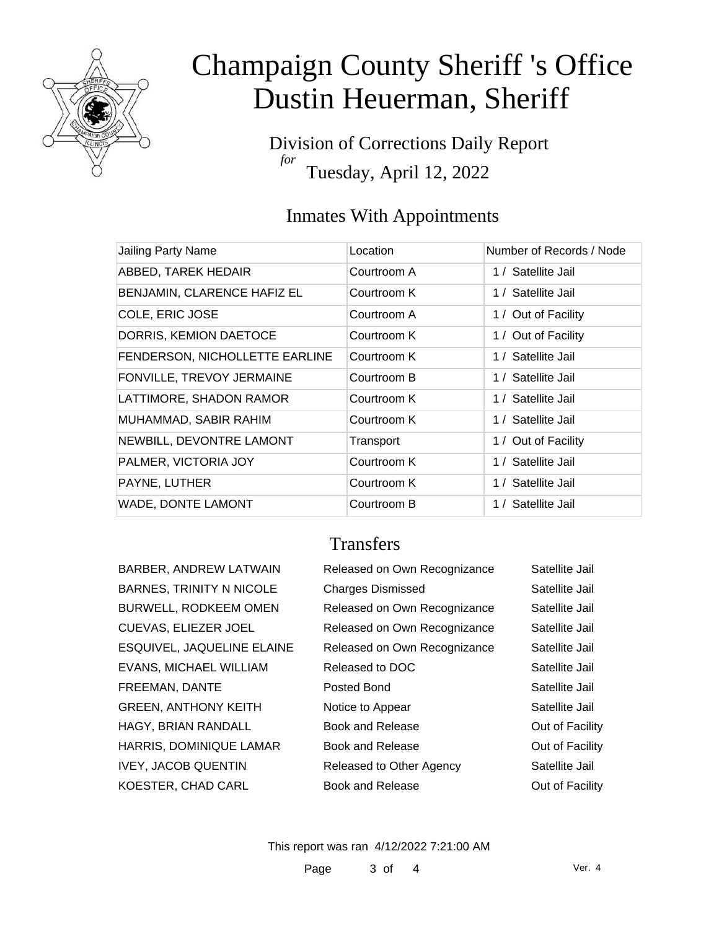

Division of Corrections Daily Report *for* Tuesday, April 12, 2022

### Inmates With Appointments

| Jailing Party Name             | Location    | Number of Records / Node |
|--------------------------------|-------------|--------------------------|
| ABBED, TAREK HEDAIR            | Courtroom A | 1 / Satellite Jail       |
| BENJAMIN, CLARENCE HAFIZ EL    | Courtroom K | 1 / Satellite Jail       |
| COLE, ERIC JOSE                | Courtroom A | 1 / Out of Facility      |
| DORRIS, KEMION DAETOCE         | Courtroom K | 1 / Out of Facility      |
| FENDERSON, NICHOLLETTE EARLINE | Courtroom K | 1 / Satellite Jail       |
| FONVILLE, TREVOY JERMAINE      | Courtroom B | 1 / Satellite Jail       |
| LATTIMORE, SHADON RAMOR        | Courtroom K | 1 / Satellite Jail       |
| MUHAMMAD, SABIR RAHIM          | Courtroom K | 1 / Satellite Jail       |
| NEWBILL, DEVONTRE LAMONT       | Transport   | 1 / Out of Facility      |
| PALMER, VICTORIA JOY           | Courtroom K | 1 / Satellite Jail       |
| PAYNE, LUTHER                  | Courtroom K | 1 / Satellite Jail       |
| WADE, DONTE LAMONT             | Courtroom B | 1 / Satellite Jail       |

### **Transfers**

| BARBER, ANDREW LATWAIN          |
|---------------------------------|
| <b>BARNES, TRINITY N NICOLE</b> |
| BURWELL, RODKEEM OMEN           |
| CUEVAS, ELIEZER JOEL            |
| ESQUIVEL, JAQUELINE ELAINE      |
| EVANS, MICHAEL WILLIAM          |
| FREEMAN, DANTE                  |
| <b>GREEN, ANTHONY KEITH</b>     |
| HAGY, BRIAN RANDALL             |
| HARRIS, DOMINIQUE LAMAR         |
| IVEY, JACOB QUENTIN             |
| KOESTER, CHAD CARL              |
|                                 |

| BARBER, ANDREW LATWAIN          | Released on Own Recognizance | Satellite Jail  |
|---------------------------------|------------------------------|-----------------|
| <b>BARNES, TRINITY N NICOLE</b> | <b>Charges Dismissed</b>     | Satellite Jail  |
| <b>BURWELL, RODKEEM OMEN</b>    | Released on Own Recognizance | Satellite Jail  |
| CUEVAS, ELIEZER JOEL            | Released on Own Recognizance | Satellite Jail  |
| ESQUIVEL, JAQUELINE ELAINE      | Released on Own Recognizance | Satellite Jail  |
| EVANS, MICHAEL WILLIAM          | Released to DOC              | Satellite Jail  |
| FREEMAN, DANTE                  | Posted Bond                  | Satellite Jail  |
| <b>GREEN, ANTHONY KEITH</b>     | Notice to Appear             | Satellite Jail  |
| HAGY, BRIAN RANDALL             | <b>Book and Release</b>      | Out of Facility |
| HARRIS, DOMINIQUE LAMAR         | Book and Release             | Out of Facility |
| <b>IVEY, JACOB QUENTIN</b>      | Released to Other Agency     | Satellite Jail  |
| KOESTER, CHAD CARL              | Book and Release             | Out of Facility |